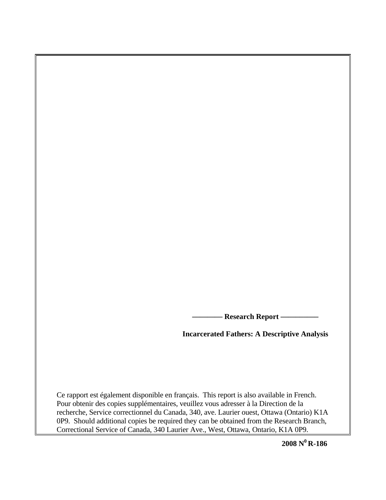**- Research Report —** 

**Incarcerated Fathers: A Descriptive Analysis** 

Ce rapport est également disponible en français. This report is also available in French. Pour obtenir des copies supplémentaires, veuillez vous adresser à la Direction de la recherche, Service correctionnel du Canada, 340, ave. Laurier ouest, Ottawa (Ontario) K1A 0P9. Should additional copies be required they can be obtained from the Research Branch, Correctional Service of Canada, 340 Laurier Ave., West, Ottawa, Ontario, K1A 0P9.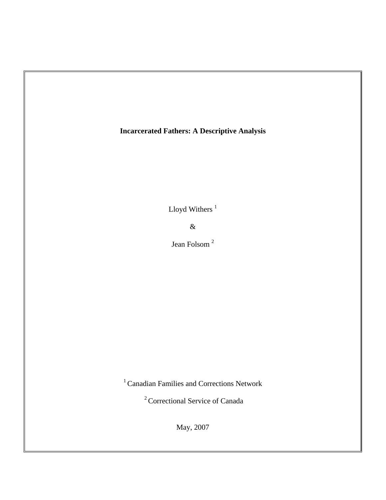# **Incarcerated Fathers: A Descriptive Analysis**

Lloyd Withers $^{\rm 1}$ 

&

Jean Folsom <sup>2</sup>

1 Canadian Families and Corrections Network

2 Correctional Service of Canada

May, 2007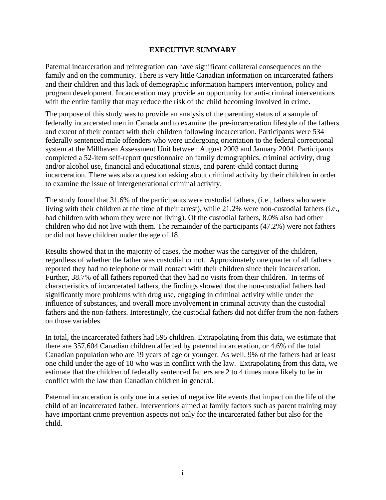# **EXECUTIVE SUMMARY**

<span id="page-2-0"></span>Paternal incarceration and reintegration can have significant collateral consequences on the family and on the community. There is very little Canadian information on incarcerated fathers and their children and this lack of demographic information hampers intervention, policy and program development. Incarceration may provide an opportunity for anti-criminal interventions with the entire family that may reduce the risk of the child becoming involved in crime.

The purpose of this study was to provide an analysis of the parenting status of a sample of federally incarcerated men in Canada and to examine the pre-incarceration lifestyle of the fathers and extent of their contact with their children following incarceration. Participants were 534 federally sentenced male offenders who were undergoing orientation to the federal correctional system at the Millhaven Assessment Unit between August 2003 and January 2004. Participants completed a 52-item self-report questionnaire on family demographics, criminal activity, drug and/or alcohol use, financial and educational status, and parent-child contact during incarceration. There was also a question asking about criminal activity by their children in order to examine the issue of intergenerational criminal activity.

The study found that 31.6% of the participants were custodial fathers, (i.e., fathers who were living with their children at the time of their arrest), while 21.2% were non-custodial fathers (i.e., had children with whom they were not living). Of the custodial fathers, 8.0% also had other children who did not live with them. The remainder of the participants (47.2%) were not fathers or did not have children under the age of 18.

Results showed that in the majority of cases, the mother was the caregiver of the children, regardless of whether the father was custodial or not. Approximately one quarter of all fathers reported they had no telephone or mail contact with their children since their incarceration. Further, 38.7% of all fathers reported that they had no visits from their children. In terms of characteristics of incarcerated fathers, the findings showed that the non-custodial fathers had significantly more problems with drug use, engaging in criminal activity while under the influence of substances, and overall more involvement in criminal activity than the custodial fathers and the non-fathers. Interestingly, the custodial fathers did not differ from the non-fathers on those variables.

In total, the incarcerated fathers had 595 children. Extrapolating from this data, we estimate that there are 357,604 Canadian children affected by paternal incarceration, or 4.6% of the total Canadian population who are 19 years of age or younger. As well, 9% of the fathers had at least one child under the age of 18 who was in conflict with the law. Extrapolating from this data, we estimate that the children of federally sentenced fathers are 2 to 4 times more likely to be in conflict with the law than Canadian children in general.

Paternal incarceration is only one in a series of negative life events that impact on the life of the child of an incarcerated father. Interventions aimed at family factors such as parent training may have important crime prevention aspects not only for the incarcerated father but also for the child.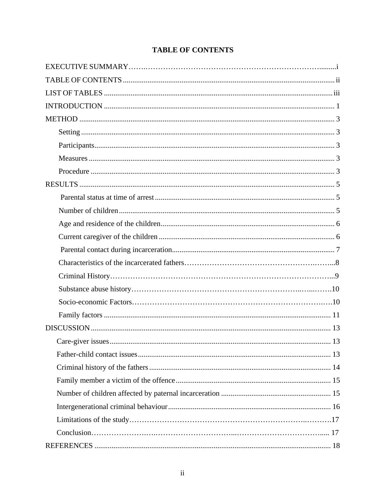# **TABLE OF CONTENTS**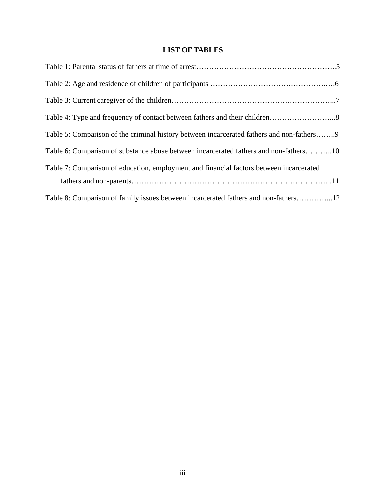# **LIST OF TABLES**

<span id="page-4-0"></span>

| Table 5: Comparison of the criminal history between incarcerated fathers and non-fathers9 |
|-------------------------------------------------------------------------------------------|
| Table 6: Comparison of substance abuse between incarcerated fathers and non-fathers10     |
| Table 7: Comparison of education, employment and financial factors between incarcerated   |
|                                                                                           |
|                                                                                           |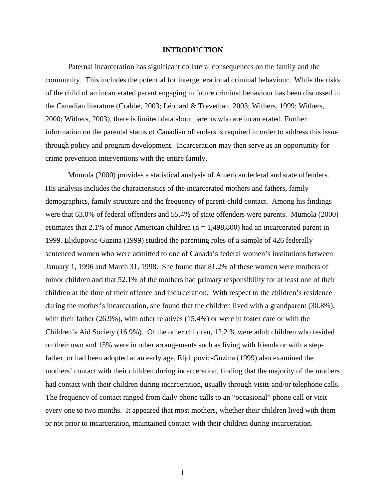### **INTRODUCTION**

<span id="page-5-0"></span>Paternal incarceration has significant collateral consequences on the family and the community. This includes the potential for intergenerational criminal behaviour. While the risks of the child of an incarcerated parent engaging in future criminal behaviour has been discussed in the Canadian literature (Crabbe, 2003; Léonard & Trevethan, 2003; Withers, 1999; Withers, 2000; Withers, 2003), there is limited data about parents who are incarcerated. Further information on the parental status of Canadian offenders is required in order to address this issue through policy and program development. Incarceration may then serve as an opportunity for crime prevention interventions with the entire family.

Mumola (2000) provides a statistical analysis of American federal and state offenders. His analysis includes the characteristics of the incarcerated mothers and fathers, family demographics, family structure and the frequency of parent-child contact. Among his findings were that 63.0% of federal offenders and 55.4% of state offenders were parents. Mumola (2000) estimates that 2.1% of minor American children ( $n = 1,498,800$ ) had an incarcerated parent in 1999. Eljdupovic-Guzina (1999) studied the parenting roles of a sample of 426 federally sentenced women who were admitted to one of Canada's federal women's institutions between January 1, 1996 and March 31, 1998. She found that 81.2% of these women were mothers of minor children and that 52.1% of the mothers had primary responsibility for at least one of their children at the time of their offence and incarceration. With respect to the children's residence during the mother's incarceration, she found that the children lived with a grandparent (30.8%), with their father (26.9%), with other relatives (15.4%) or were in foster care or with the Children's Aid Society (16.9%). Of the other children, 12.2 % were adult children who resided on their own and 15% were in other arrangements such as living with friends or with a stepfather, or had been adopted at an early age. Eljdupovic-Guzina (1999) also examined the mothers' contact with their children during incarceration, finding that the majority of the mothers had contact with their children during incarceration, usually through visits and/or telephone calls. The frequency of contact ranged from daily phone calls to an "occasional" phone call or visit every one to two months. It appeared that most mothers, whether their children lived with them or not prior to incarceration, maintained contact with their children during incarceration.

1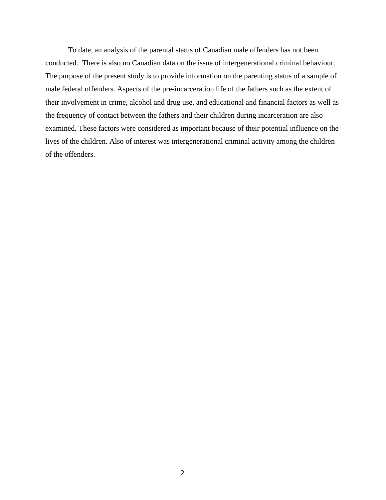To date, an analysis of the parental status of Canadian male offenders has not been conducted. There is also no Canadian data on the issue of intergenerational criminal behaviour. The purpose of the present study is to provide information on the parenting status of a sample of male federal offenders. Aspects of the pre-incarceration life of the fathers such as the extent of their involvement in crime, alcohol and drug use, and educational and financial factors as well as the frequency of contact between the fathers and their children during incarceration are also examined. These factors were considered as important because of their potential influence on the lives of the children. Also of interest was intergenerational criminal activity among the children of the offenders.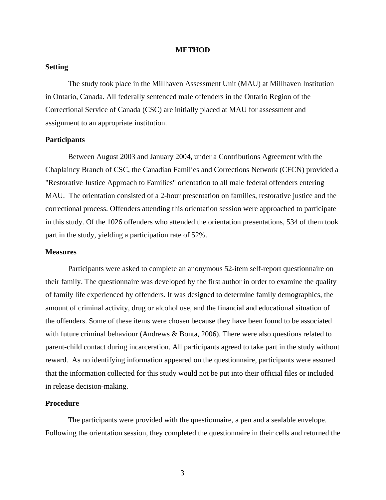#### **METHOD**

## <span id="page-7-0"></span>**Setting**

The study took place in the Millhaven Assessment Unit (MAU) at Millhaven Institution in Ontario, Canada. All federally sentenced male offenders in the Ontario Region of the Correctional Service of Canada (CSC) are initially placed at MAU for assessment and assignment to an appropriate institution.

### **Participants**

Between August 2003 and January 2004, under a Contributions Agreement with the Chaplaincy Branch of CSC, the Canadian Families and Corrections Network (CFCN) provided a "Restorative Justice Approach to Families" orientation to all male federal offenders entering MAU. The orientation consisted of a 2-hour presentation on families, restorative justice and the correctional process. Offenders attending this orientation session were approached to participate in this study. Of the 1026 offenders who attended the orientation presentations, 534 of them took part in the study, yielding a participation rate of 52%.

#### **Measures**

Participants were asked to complete an anonymous 52-item self-report questionnaire on their family. The questionnaire was developed by the first author in order to examine the quality of family life experienced by offenders. It was designed to determine family demographics, the amount of criminal activity, drug or alcohol use, and the financial and educational situation of the offenders. Some of these items were chosen because they have been found to be associated with future criminal behaviour (Andrews  $\&$  Bonta, 2006). There were also questions related to parent-child contact during incarceration. All participants agreed to take part in the study without reward. As no identifying information appeared on the questionnaire, participants were assured that the information collected for this study would not be put into their official files or included in release decision-making.

# **Procedure**

 The participants were provided with the questionnaire, a pen and a sealable envelope. Following the orientation session, they completed the questionnaire in their cells and returned the

3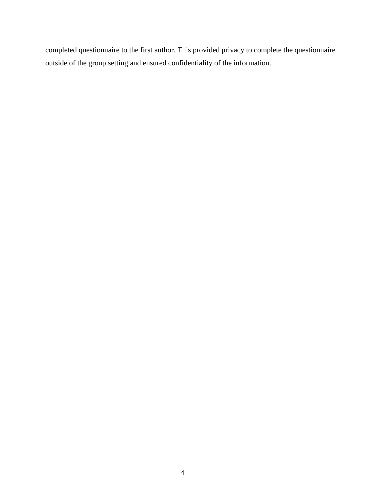completed questionnaire to the first author. This provided privacy to complete the questionnaire outside of the group setting and ensured confidentiality of the information.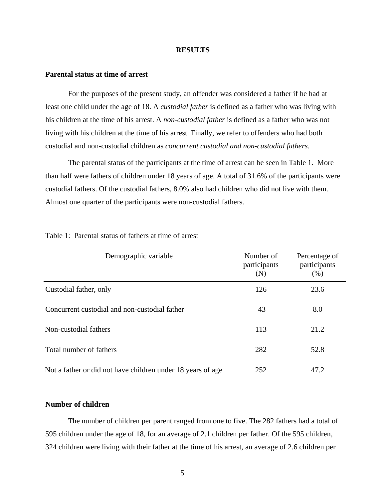#### **RESULTS**

# <span id="page-9-0"></span>**Parental status at time of arrest**

 For the purposes of the present study, an offender was considered a father if he had at least one child under the age of 18. A *custodial father* is defined as a father who was living with his children at the time of his arrest. A *non-custodial father* is defined as a father who was not living with his children at the time of his arrest. Finally, we refer to offenders who had both custodial and non-custodial children as *concurrent custodial and non-custodial fathers*.

 The parental status of the participants at the time of arrest can be seen in Table 1. More than half were fathers of children under 18 years of age. A total of 31.6% of the participants were custodial fathers. Of the custodial fathers, 8.0% also had children who did not live with them. Almost one quarter of the participants were non-custodial fathers.

| Demographic variable                                        | Number of<br>participants<br>(N) | Percentage of<br>participants<br>(% ) |
|-------------------------------------------------------------|----------------------------------|---------------------------------------|
| Custodial father, only                                      | 126                              | 23.6                                  |
| Concurrent custodial and non-custodial father               | 43                               | 8.0                                   |
| Non-custodial fathers                                       | 113                              | 21.2                                  |
| Total number of fathers                                     | 282                              | 52.8                                  |
| Not a father or did not have children under 18 years of age | 252                              | 47.2                                  |

# Table 1: Parental status of fathers at time of arrest

# **Number of children**

The number of children per parent ranged from one to five. The 282 fathers had a total of 595 children under the age of 18, for an average of 2.1 children per father. Of the 595 children, 324 children were living with their father at the time of his arrest, an average of 2.6 children per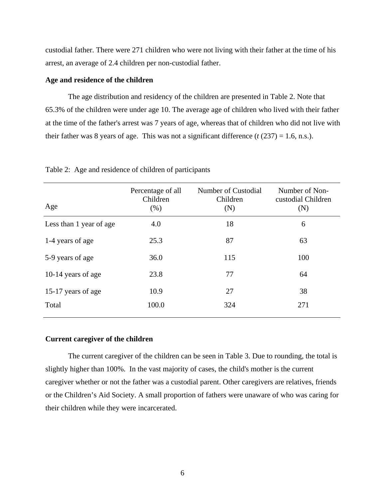<span id="page-10-0"></span>custodial father. There were 271 children who were not living with their father at the time of his arrest, an average of 2.4 children per non-custodial father.

# **Age and residence of the children**

The age distribution and residency of the children are presented in Table 2. Note that 65.3% of the children were under age 10. The average age of children who lived with their father at the time of the father's arrest was 7 years of age, whereas that of children who did not live with their father was 8 years of age. This was not a significant difference  $(t (237) = 1.6, n.s.).$ 

| Age                     | Percentage of all<br>Children<br>(% ) | Number of Custodial<br>Children<br>(N) | Number of Non-<br>custodial Children<br>(N) |
|-------------------------|---------------------------------------|----------------------------------------|---------------------------------------------|
| Less than 1 year of age | 4.0                                   | 18                                     | 6                                           |
| 1-4 years of age        | 25.3                                  | 87                                     | 63                                          |
| 5-9 years of age        | 36.0                                  | 115                                    | 100                                         |
| 10-14 years of age      | 23.8                                  | 77                                     | 64                                          |
| 15-17 years of age      | 10.9                                  | 27                                     | 38                                          |
| Total                   | 100.0                                 | 324                                    | 271                                         |
|                         |                                       |                                        |                                             |

Table 2: Age and residence of children of participants

# **Current caregiver of the children**

The current caregiver of the children can be seen in Table 3. Due to rounding, the total is slightly higher than 100%. In the vast majority of cases, the child's mother is the current caregiver whether or not the father was a custodial parent. Other caregivers are relatives, friends or the Children's Aid Society. A small proportion of fathers were unaware of who was caring for their children while they were incarcerated.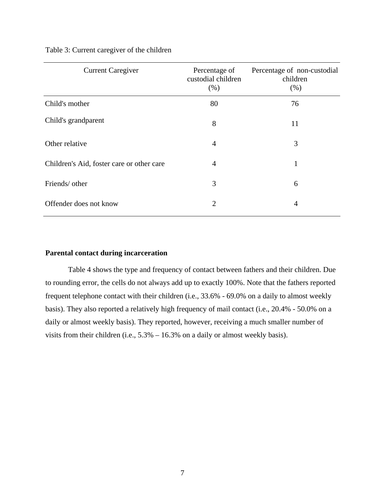| <b>Current Caregiver</b>                  | Percentage of<br>custodial children<br>(% ) | Percentage of non-custodial<br>children<br>(% ) |
|-------------------------------------------|---------------------------------------------|-------------------------------------------------|
| Child's mother                            | 80                                          | 76                                              |
| Child's grandparent                       | 8                                           | 11                                              |
| Other relative                            | $\overline{4}$                              | 3                                               |
| Children's Aid, foster care or other care | 4                                           | 1                                               |
| Friends/ other                            | 3                                           | 6                                               |
| Offender does not know                    | $\overline{2}$                              | 4                                               |

# <span id="page-11-0"></span>Table 3: Current caregiver of the children

### **Parental contact during incarceration**

Table 4 shows the type and frequency of contact between fathers and their children. Due to rounding error, the cells do not always add up to exactly 100%. Note that the fathers reported frequent telephone contact with their children (i.e., 33.6% - 69.0% on a daily to almost weekly basis). They also reported a relatively high frequency of mail contact (i.e., 20.4% - 50.0% on a daily or almost weekly basis). They reported, however, receiving a much smaller number of visits from their children (i.e., 5.3% – 16.3% on a daily or almost weekly basis).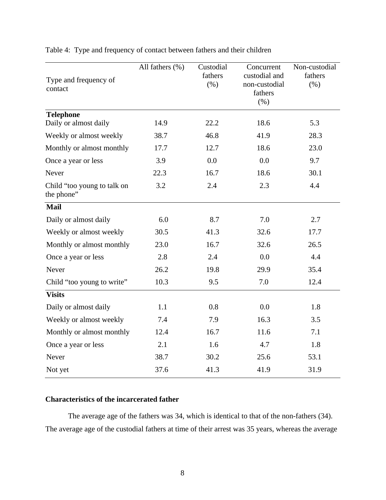| Type and frequency of<br>contact          | All fathers $(\% )$ | Custodial<br>fathers<br>(% ) | Concurrent<br>custodial and<br>non-custodial<br>fathers<br>(% ) | Non-custodial<br>fathers<br>(% ) |
|-------------------------------------------|---------------------|------------------------------|-----------------------------------------------------------------|----------------------------------|
| <b>Telephone</b><br>Daily or almost daily | 14.9                | 22.2                         | 18.6                                                            | 5.3                              |
|                                           |                     |                              |                                                                 |                                  |
| Weekly or almost weekly                   | 38.7                | 46.8                         | 41.9                                                            | 28.3                             |
| Monthly or almost monthly                 | 17.7                | 12.7                         | 18.6                                                            | 23.0                             |
| Once a year or less                       | 3.9                 | 0.0                          | 0.0                                                             | 9.7                              |
| Never                                     | 22.3                | 16.7                         | 18.6                                                            | 30.1                             |
| Child "too young to talk on<br>the phone" | 3.2                 | 2.4                          | 2.3                                                             | 4.4                              |
| Mail                                      |                     |                              |                                                                 |                                  |
| Daily or almost daily                     | 6.0                 | 8.7                          | 7.0                                                             | 2.7                              |
| Weekly or almost weekly                   | 30.5                | 41.3                         | 32.6                                                            | 17.7                             |
| Monthly or almost monthly                 | 23.0                | 16.7                         | 32.6                                                            | 26.5                             |
| Once a year or less                       | 2.8                 | 2.4                          | 0.0                                                             | 4.4                              |
| Never                                     | 26.2                | 19.8                         | 29.9                                                            | 35.4                             |
| Child "too young to write"                | 10.3                | 9.5                          | 7.0                                                             | 12.4                             |
| <b>Visits</b>                             |                     |                              |                                                                 |                                  |
| Daily or almost daily                     | 1.1                 | 0.8                          | 0.0                                                             | 1.8                              |
| Weekly or almost weekly                   | 7.4                 | 7.9                          | 16.3                                                            | 3.5                              |
| Monthly or almost monthly                 | 12.4                | 16.7                         | 11.6                                                            | 7.1                              |
| Once a year or less                       | 2.1                 | 1.6                          | 4.7                                                             | 1.8                              |
| Never                                     | 38.7                | 30.2                         | 25.6                                                            | 53.1                             |
| Not yet                                   | 37.6                | 41.3                         | 41.9                                                            | 31.9                             |

<span id="page-12-0"></span>Table 4: Type and frequency of contact between fathers and their children

# **Characteristics of the incarcerated father**

 The average age of the fathers was 34, which is identical to that of the non-fathers (34). The average age of the custodial fathers at time of their arrest was 35 years, whereas the average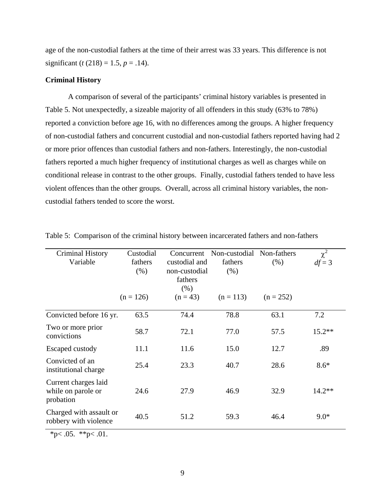<span id="page-13-0"></span>age of the non-custodial fathers at the time of their arrest was 33 years. This difference is not significant (*t* (218) = 1.5, *p* = .14).

### **Criminal History**

A comparison of several of the participants' criminal history variables is presented in Table 5. Not unexpectedly, a sizeable majority of all offenders in this study (63% to 78%) reported a conviction before age 16, with no differences among the groups. A higher frequency of non-custodial fathers and concurrent custodial and non-custodial fathers reported having had 2 or more prior offences than custodial fathers and non-fathers. Interestingly, the non-custodial fathers reported a much higher frequency of institutional charges as well as charges while on conditional release in contrast to the other groups. Finally, custodial fathers tended to have less violent offences than the other groups. Overall, across all criminal history variables, the noncustodial fathers tended to score the worst.

| <b>Criminal History</b><br>Variable                     | Custodial<br>fathers<br>(% ) | Concurrent<br>custodial and<br>non-custodial<br>fathers<br>(% ) | Non-custodial Non-fathers<br>fathers<br>(% ) | (% )        | $\chi^2$<br>$df = 3$ |
|---------------------------------------------------------|------------------------------|-----------------------------------------------------------------|----------------------------------------------|-------------|----------------------|
|                                                         | $(n = 126)$                  | $(n = 43)$                                                      | $(n = 113)$                                  | $(n = 252)$ |                      |
| Convicted before 16 yr.                                 | 63.5                         | 74.4                                                            | 78.8                                         | 63.1        | 7.2                  |
| Two or more prior<br>convictions                        | 58.7                         | 72.1                                                            | 77.0                                         | 57.5        | $15.2**$             |
| Escaped custody                                         | 11.1                         | 11.6                                                            | 15.0                                         | 12.7        | .89                  |
| Convicted of an<br>institutional charge                 | 25.4                         | 23.3                                                            | 40.7                                         | 28.6        | $8.6*$               |
| Current charges laid<br>while on parole or<br>probation | 24.6                         | 27.9                                                            | 46.9                                         | 32.9        | $14.2**$             |
| Charged with assault or<br>robbery with violence        | 40.5                         | 51.2                                                            | 59.3                                         | 46.4        | $9.0*$               |

Table 5: Comparison of the criminal history between incarcerated fathers and non-fathers

\*p $< .05.$  \*\*p $< .01.$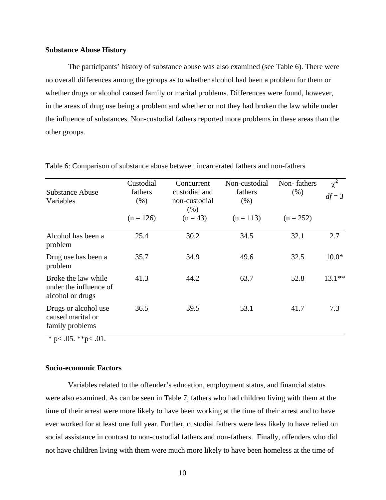## <span id="page-14-0"></span>**Substance Abuse History**

The participants' history of substance abuse was also examined (see Table 6). There were no overall differences among the groups as to whether alcohol had been a problem for them or whether drugs or alcohol caused family or marital problems. Differences were found, however, in the areas of drug use being a problem and whether or not they had broken the law while under the influence of substances. Non-custodial fathers reported more problems in these areas than the other groups.

| <b>Substance Abuse</b><br>Variables                               | Custodial<br>fathers<br>(% ) | Concurrent<br>custodial and<br>non-custodial<br>(% ) | Non-custodial<br>fathers<br>(% ) | Non-fathers<br>(% ) | $\chi^2$<br>$df = 3$ |
|-------------------------------------------------------------------|------------------------------|------------------------------------------------------|----------------------------------|---------------------|----------------------|
|                                                                   | $(n = 126)$                  | $(n = 43)$                                           | $(n = 113)$                      | $(n = 252)$         |                      |
| Alcohol has been a<br>problem                                     | 25.4                         | 30.2                                                 | 34.5                             | 32.1                | 2.7                  |
| Drug use has been a<br>problem                                    | 35.7                         | 34.9                                                 | 49.6                             | 32.5                | $10.0*$              |
| Broke the law while<br>under the influence of<br>alcohol or drugs | 41.3                         | 44.2                                                 | 63.7                             | 52.8                | $13.1**$             |
| Drugs or alcohol use<br>caused marital or<br>family problems      | 36.5                         | 39.5                                                 | 53.1                             | 41.7                | 7.3                  |

Table 6: Comparison of substance abuse between incarcerated fathers and non-fathers

 $*$  p $< .05$ .  $*$ <sup>\*</sup>p $< .01$ .

# **Socio-economic Factors**

Variables related to the offender's education, employment status, and financial status were also examined. As can be seen in Table 7, fathers who had children living with them at the time of their arrest were more likely to have been working at the time of their arrest and to have ever worked for at least one full year. Further, custodial fathers were less likely to have relied on social assistance in contrast to non-custodial fathers and non-fathers. Finally, offenders who did not have children living with them were much more likely to have been homeless at the time of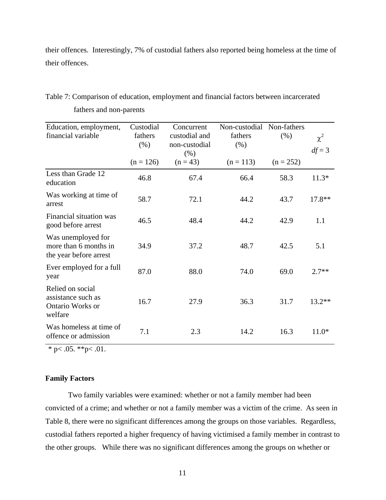<span id="page-15-0"></span>their offences. Interestingly, 7% of custodial fathers also reported being homeless at the time of their offences.

| Education, employment,<br>financial variable                          | Custodial<br>fathers<br>(% ) | Concurrent<br>custodial and<br>non-custodial<br>(% ) | Non-custodial Non-fathers<br>fathers<br>(% ) | (% )        | $\chi^2$<br>$df = 3$ |
|-----------------------------------------------------------------------|------------------------------|------------------------------------------------------|----------------------------------------------|-------------|----------------------|
|                                                                       | $(n = 126)$                  | $(n = 43)$                                           | $(n = 113)$                                  | $(n = 252)$ |                      |
| Less than Grade 12<br>education                                       | 46.8                         | 67.4                                                 | 66.4                                         | 58.3        | $11.3*$              |
| Was working at time of<br>arrest                                      | 58.7                         | 72.1                                                 | 44.2                                         | 43.7        | 17.8**               |
| Financial situation was<br>good before arrest                         | 46.5                         | 48.4                                                 | 44.2                                         | 42.9        | 1.1                  |
| Was unemployed for<br>more than 6 months in<br>the year before arrest | 34.9                         | 37.2                                                 | 48.7                                         | 42.5        | 5.1                  |
| Ever employed for a full<br>year                                      | 87.0                         | 88.0                                                 | 74.0                                         | 69.0        | $2.7**$              |
| Relied on social<br>assistance such as<br>Ontario Works or<br>welfare | 16.7                         | 27.9                                                 | 36.3                                         | 31.7        | 13.2**               |
| Was homeless at time of<br>offence or admission                       | 7.1                          | 2.3                                                  | 14.2                                         | 16.3        | $11.0*$              |

Table 7: Comparison of education, employment and financial factors between incarcerated fathers and non-parents

 $*$  p $< .05$ .  $*$  $*$ p $< .01$ .

# **Family Factors**

 Two family variables were examined: whether or not a family member had been convicted of a crime; and whether or not a family member was a victim of the crime. As seen in Table 8, there were no significant differences among the groups on those variables. Regardless, custodial fathers reported a higher frequency of having victimised a family member in contrast to the other groups. While there was no significant differences among the groups on whether or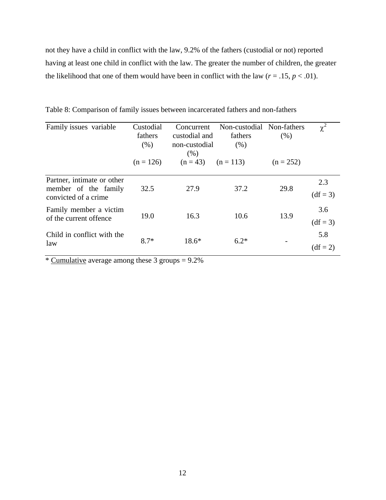<span id="page-16-0"></span>not they have a child in conflict with the law, 9.2% of the fathers (custodial or not) reported having at least one child in conflict with the law. The greater the number of children, the greater the likelihood that one of them would have been in conflict with the law  $(r = .15, p < .01)$ .

| Family issues variable                                                      | Custodial<br>fathers<br>(% ) | Concurrent<br>custodial and<br>non-custodial<br>(% ) | Non-custodial Non-fathers<br>fathers<br>(% ) | (% )        | $\chi^2$          |
|-----------------------------------------------------------------------------|------------------------------|------------------------------------------------------|----------------------------------------------|-------------|-------------------|
|                                                                             | $(n = 126)$                  | $(n = 43)$ $(n = 113)$                               |                                              | $(n = 252)$ |                   |
| Partner, intimate or other<br>member of the family<br>convicted of a crime. | 32.5                         | 27.9                                                 | 37.2                                         | 29.8        | 2.3<br>$(df = 3)$ |
| Family member a victim<br>of the current offence                            | 19.0                         | 16.3                                                 | 10.6                                         | 13.9        | 3.6<br>$(df = 3)$ |
| Child in conflict with the<br>law                                           | $8.7*$                       | $18.6*$                                              | $6.2*$                                       |             | 5.8<br>$(df = 2)$ |

Table 8: Comparison of family issues between incarcerated fathers and non-fathers

\* Cumulative average among these 3 groups  $= 9.2\%$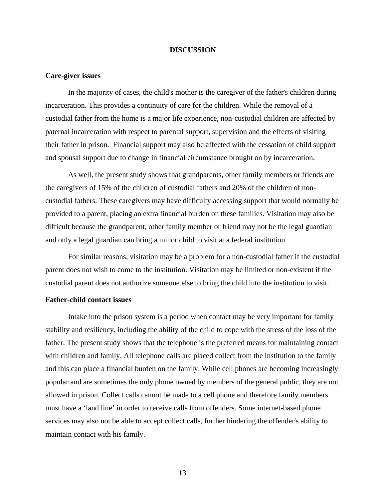### **DISCUSSION**

#### <span id="page-17-0"></span>**Care-giver issues**

In the majority of cases, the child's mother is the caregiver of the father's children during incarceration. This provides a continuity of care for the children. While the removal of a custodial father from the home is a major life experience, non-custodial children are affected by paternal incarceration with respect to parental support, supervision and the effects of visiting their father in prison. Financial support may also be affected with the cessation of child support and spousal support due to change in financial circumstance brought on by incarceration.

As well, the present study shows that grandparents, other family members or friends are the caregivers of 15% of the children of custodial fathers and 20% of the children of noncustodial fathers. These caregivers may have difficulty accessing support that would normally be provided to a parent, placing an extra financial burden on these families. Visitation may also be difficult because the grandparent, other family member or friend may not be the legal guardian and only a legal guardian can bring a minor child to visit at a federal institution.

For similar reasons, visitation may be a problem for a non-custodial father if the custodial parent does not wish to come to the institution. Visitation may be limited or non-existent if the custodial parent does not authorize someone else to bring the child into the institution to visit.

# **Father-child contact issues**

Intake into the prison system is a period when contact may be very important for family stability and resiliency, including the ability of the child to cope with the stress of the loss of the father. The present study shows that the telephone is the preferred means for maintaining contact with children and family. All telephone calls are placed collect from the institution to the family and this can place a financial burden on the family. While cell phones are becoming increasingly popular and are sometimes the only phone owned by members of the general public, they are not allowed in prison. Collect calls cannot be made to a cell phone and therefore family members must have a 'land line' in order to receive calls from offenders. Some internet-based phone services may also not be able to accept collect calls, further hindering the offender's ability to maintain contact with his family.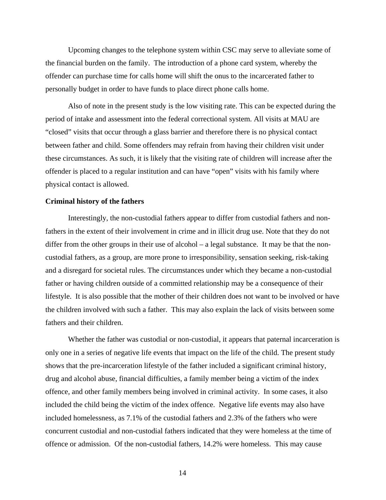<span id="page-18-0"></span>Upcoming changes to the telephone system within CSC may serve to alleviate some of the financial burden on the family. The introduction of a phone card system, whereby the offender can purchase time for calls home will shift the onus to the incarcerated father to personally budget in order to have funds to place direct phone calls home.

Also of note in the present study is the low visiting rate. This can be expected during the period of intake and assessment into the federal correctional system. All visits at MAU are "closed" visits that occur through a glass barrier and therefore there is no physical contact between father and child. Some offenders may refrain from having their children visit under these circumstances. As such, it is likely that the visiting rate of children will increase after the offender is placed to a regular institution and can have "open" visits with his family where physical contact is allowed.

### **Criminal history of the fathers**

Interestingly, the non-custodial fathers appear to differ from custodial fathers and nonfathers in the extent of their involvement in crime and in illicit drug use. Note that they do not differ from the other groups in their use of alcohol – a legal substance. It may be that the noncustodial fathers, as a group, are more prone to irresponsibility, sensation seeking, risk-taking and a disregard for societal rules. The circumstances under which they became a non-custodial father or having children outside of a committed relationship may be a consequence of their lifestyle. It is also possible that the mother of their children does not want to be involved or have the children involved with such a father. This may also explain the lack of visits between some fathers and their children.

Whether the father was custodial or non-custodial, it appears that paternal incarceration is only one in a series of negative life events that impact on the life of the child. The present study shows that the pre-incarceration lifestyle of the father included a significant criminal history, drug and alcohol abuse, financial difficulties, a family member being a victim of the index offence, and other family members being involved in criminal activity. In some cases, it also included the child being the victim of the index offence. Negative life events may also have included homelessness, as 7.1% of the custodial fathers and 2.3% of the fathers who were concurrent custodial and non-custodial fathers indicated that they were homeless at the time of offence or admission. Of the non-custodial fathers, 14.2% were homeless. This may cause

14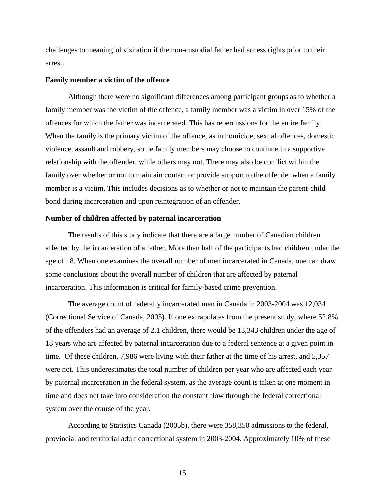<span id="page-19-0"></span>challenges to meaningful visitation if the non-custodial father had access rights prior to their arrest.

#### **Family member a victim of the offence**

Although there were no significant differences among participant groups as to whether a family member was the victim of the offence, a family member was a victim in over 15% of the offences for which the father was incarcerated. This has repercussions for the entire family. When the family is the primary victim of the offence, as in homicide, sexual offences, domestic violence, assault and robbery, some family members may choose to continue in a supportive relationship with the offender, while others may not. There may also be conflict within the family over whether or not to maintain contact or provide support to the offender when a family member is a victim. This includes decisions as to whether or not to maintain the parent-child bond during incarceration and upon reintegration of an offender.

### **Number of children affected by paternal incarceration**

The results of this study indicate that there are a large number of Canadian children affected by the incarceration of a father. More than half of the participants had children under the age of 18. When one examines the overall number of men incarcerated in Canada, one can draw some conclusions about the overall number of children that are affected by paternal incarceration. This information is critical for family-based crime prevention.

The average count of federally incarcerated men in Canada in 2003-2004 was 12,034 (Correctional Service of Canada, 2005). If one extrapolates from the present study, where 52.8% of the offenders had an average of 2.1 children, there would be 13,343 children under the age of 18 years who are affected by paternal incarceration due to a federal sentence at a given point in time. Of these children, 7,986 were living with their father at the time of his arrest, and 5,357 were not. This underestimates the total number of children per year who are affected each year by paternal incarceration in the federal system, as the average count is taken at one moment in time and does not take into consideration the constant flow through the federal correctional system over the course of the year.

According to Statistics Canada (2005b), there were 358,350 admissions to the federal, provincial and territorial adult correctional system in 2003-2004. Approximately 10% of these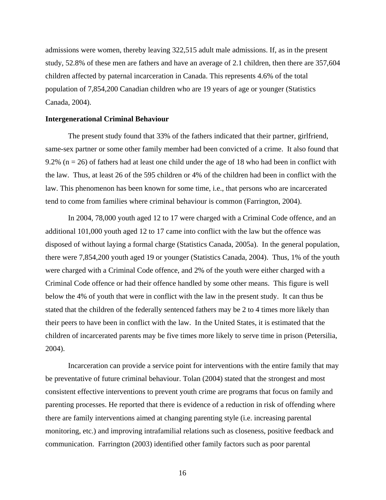admissions were women, thereby leaving 322,515 adult male admissions. If, as in the present study, 52.8% of these men are fathers and have an average of 2.1 children, then there are 357,604 children affected by paternal incarceration in Canada. This represents 4.6% of the total population of 7,854,200 Canadian children who are 19 years of age or younger (Statistics Canada, 2004).

### **Intergenerational Criminal Behaviour**

 The present study found that 33% of the fathers indicated that their partner, girlfriend, same-sex partner or some other family member had been convicted of a crime. It also found that 9.2% ( $n = 26$ ) of fathers had at least one child under the age of 18 who had been in conflict with the law. Thus, at least 26 of the 595 children or 4% of the children had been in conflict with the law. This phenomenon has been known for some time, i.e., that persons who are incarcerated tend to come from families where criminal behaviour is common (Farrington, 2004).

In 2004, 78,000 youth aged 12 to 17 were charged with a Criminal Code offence, and an additional 101,000 youth aged 12 to 17 came into conflict with the law but the offence was disposed of without laying a formal charge (Statistics Canada, 2005a). In the general population, there were 7,854,200 youth aged 19 or younger (Statistics Canada, 2004). Thus, 1% of the youth were charged with a Criminal Code offence, and 2% of the youth were either charged with a Criminal Code offence or had their offence handled by some other means. This figure is well below the 4% of youth that were in conflict with the law in the present study. It can thus be stated that the children of the federally sentenced fathers may be 2 to 4 times more likely than their peers to have been in conflict with the law. In the United States, it is estimated that the children of incarcerated parents may be five times more likely to serve time in prison (Petersilia, 2004).

Incarceration can provide a service point for interventions with the entire family that may be preventative of future criminal behaviour. Tolan (2004) stated that the strongest and most consistent effective interventions to prevent youth crime are programs that focus on family and parenting processes. He reported that there is evidence of a reduction in risk of offending where there are family interventions aimed at changing parenting style (i.e. increasing parental monitoring, etc.) and improving intrafamilial relations such as closeness, positive feedback and communication. Farrington (2003) identified other family factors such as poor parental

16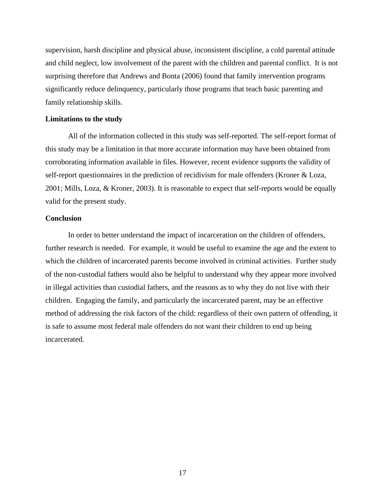supervision, harsh discipline and physical abuse, inconsistent discipline, a cold parental attitude and child neglect, low involvement of the parent with the children and parental conflict. It is not surprising therefore that Andrews and Bonta (2006) found that family intervention programs significantly reduce delinquency, particularly those programs that teach basic parenting and family relationship skills.

### **Limitations to the study**

All of the information collected in this study was self-reported. The self-report format of this study may be a limitation in that more accurate information may have been obtained from corroborating information available in files. However, recent evidence supports the validity of self-report questionnaires in the prediction of recidivism for male offenders (Kroner & Loza, 2001; Mills, Loza, & Kroner, 2003). It is reasonable to expect that self-reports would be equally valid for the present study.

## **Conclusion**

In order to better understand the impact of incarceration on the children of offenders, further research is needed. For example, it would be useful to examine the age and the extent to which the children of incarcerated parents become involved in criminal activities. Further study of the non-custodial fathers would also be helpful to understand why they appear more involved in illegal activities than custodial fathers, and the reasons as to why they do not live with their children. Engaging the family, and particularly the incarcerated parent, may be an effective method of addressing the risk factors of the child: regardless of their own pattern of offending, it is safe to assume most federal male offenders do not want their children to end up being incarcerated.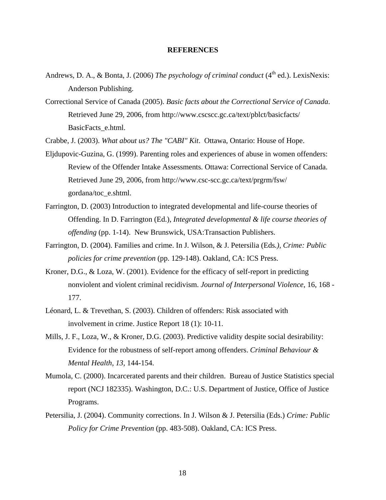### **REFERENCES**

- Andrews, D. A., & Bonta, J. (2006) *The psychology of criminal conduct* (4<sup>th</sup> ed.). LexisNexis: Anderson Publishing.
- Correctional Service of Canada (2005). *Basic facts about the Correctional Service of Canada*. Retrieved June 29, 2006, from http://www.cscscc.gc.ca/text/pblct/basicfacts/ BasicFacts\_e.html.

Crabbe, J. (2003). *What about us? The "CABI" Kit*. Ottawa, Ontario: House of Hope.

- Eljdupovic-Guzina, G. (1999). Parenting roles and experiences of abuse in women offenders: Review of the Offender Intake Assessments. Ottawa: Correctional Service of Canada. Retrieved June 29, 2006, from http://www.csc-scc.gc.ca/text/prgrm/fsw/ gordana/toc\_e.shtml.
- Farrington, D. (2003) Introduction to integrated developmental and life-course theories of Offending. In D. Farrington (Ed.)*, Integrated developmental & life course theories of offending* (pp. 1-14). New Brunswick, USA:Transaction Publishers.
- Farrington, D. (2004). Families and crime. In J. Wilson, & J. Petersilia (Eds*.), Crime: Public policies for crime prevention* (pp. 129-148). Oakland, CA: ICS Press.
- Kroner, D.G., & Loza, W. (2001). Evidence for the efficacy of self-report in predicting nonviolent and violent criminal recidivism. *Journal of Interpersonal Violence*, 16, 168 - 177.
- Léonard, L. & Trevethan, S. (2003). Children of offenders: Risk associated with involvement in crime. Justice Report 18 (1): 10-11.
- Mills, J. F., Loza, W., & Kroner, D.G. (2003). Predictive validity despite social desirability: Evidence for the robustness of self-report among offenders. *Criminal Behaviour & Mental Health, 13,* 144-154.
- Mumola, C. (2000). Incarcerated parents and their children. Bureau of Justice Statistics special report (NCJ 182335). Washington, D.C.: U.S. Department of Justice, Office of Justice Programs.
- Petersilia, J. (2004). Community corrections. In J. Wilson & J. Petersilia (Eds.) *Crime: Public Policy for Crime Prevention* (pp. 483-508). Oakland, CA: ICS Press.